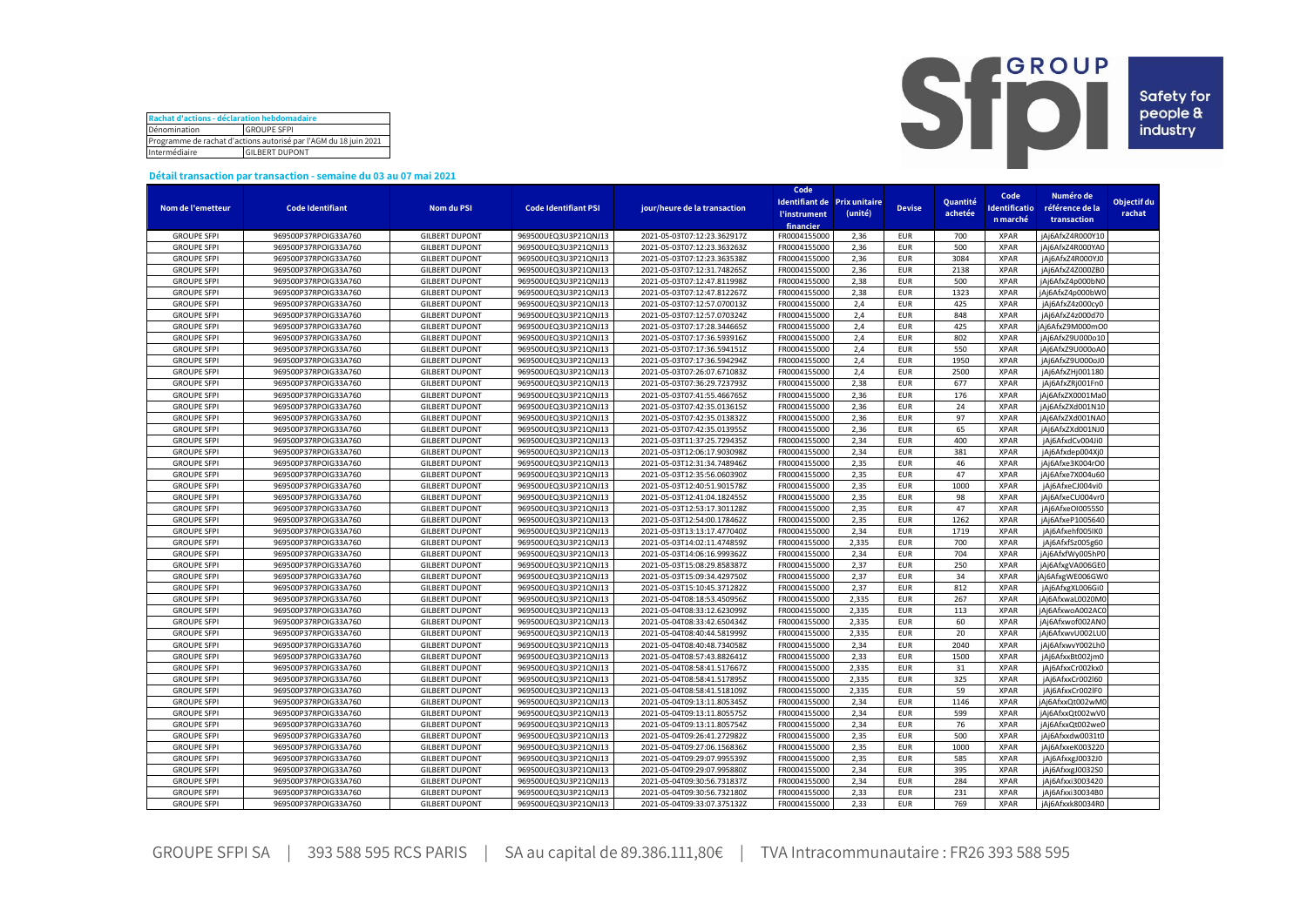| Rachat d'actions - déclaration hebdomadaire                      |  |  |  |  |  |  |  |
|------------------------------------------------------------------|--|--|--|--|--|--|--|
| Dénomination<br><b>GROUPE SFPI</b>                               |  |  |  |  |  |  |  |
| Programme de rachat d'actions autorisé par l'AGM du 18 juin 2021 |  |  |  |  |  |  |  |
| Intermédiaire<br><b>GILBERT DUPONT</b>                           |  |  |  |  |  |  |  |



## **Détail transaction par transaction - semaine du 03 au 07 mai 2021**

|                    |                         |                       |                             |                              | Code                              |         |               |            |                      |                  |             |
|--------------------|-------------------------|-----------------------|-----------------------------|------------------------------|-----------------------------------|---------|---------------|------------|----------------------|------------------|-------------|
|                    |                         |                       |                             |                              | Identifiant de Prix unitaire      |         |               | Quantité   | Code                 | Numéro de        | Objectif du |
| Nom de l'emetteur  | <b>Code Identifiant</b> | <b>Nom du PSI</b>     | <b>Code Identifiant PSI</b> | jour/heure de la transaction | <b><i><u>l'instrument</u></i></b> | (unité) | <b>Devise</b> | achetée    | <b>Identificatio</b> | référence de la  | rachat      |
|                    |                         |                       |                             |                              | financier                         |         |               |            | n marché             | transaction      |             |
| <b>GROUPE SFPI</b> | 969500P37RPOIG33A760    | <b>GILBERT DUPONT</b> | 969500UEQ3U3P21QNJ13        | 2021-05-03T07:12:23.362917Z  | FR0004155000                      | 2,36    | <b>EUR</b>    | 700        | <b>XPAR</b>          | jAj6AfxZ4R000Y10 |             |
| <b>GROUPE SFPI</b> | 969500P37RPOIG33A760    | <b>GILBERT DUPONT</b> | 969500UEQ3U3P21QNJ13        | 2021-05-03T07:12:23.363263Z  | FR0004155000                      | 2,36    | <b>EUR</b>    | 500        | <b>XPAR</b>          | jAj6AfxZ4R000YA0 |             |
| <b>GROUPE SFPI</b> | 969500P37RPOIG33A760    | <b>GILBERT DUPONT</b> | 969500UEQ3U3P21QNJ13        | 2021-05-03T07:12:23.363538Z  | FR0004155000                      | 2,36    | <b>EUR</b>    | 3084       | <b>XPAR</b>          | iAi6AfxZ4R000YJ0 |             |
| <b>GROUPE SFPI</b> | 969500P37RPOIG33A760    | <b>GILBERT DUPONT</b> | 969500UEQ3U3P21QNJ13        | 2021-05-03T07:12:31.748265Z  | FR0004155000                      | 2,36    | <b>EUR</b>    | 2138       | <b>XPAR</b>          | jAj6AfxZ4Z000ZB0 |             |
| <b>GROUPE SFPI</b> | 969500P37RPOIG33A760    | <b>GILBERT DUPONT</b> | 969500UEQ3U3P21QNJ13        | 2021-05-03T07:12:47.811998Z  | FR0004155000                      | 2.38    | <b>EUR</b>    | 500        | <b>XPAR</b>          | iAi6AfxZ4p000bN0 |             |
| <b>GROUPE SFPI</b> | 969500P37RPOIG33A760    | <b>GILBERT DUPONT</b> | 969500UEQ3U3P21QNJ13        | 2021-05-03T07:12:47.812267Z  | FR0004155000                      | 2,38    | <b>EUR</b>    | 1323       | <b>XPAR</b>          | jAj6AfxZ4p000bW0 |             |
| <b>GROUPE SFPI</b> | 969500P37RPOIG33A760    | <b>GILBERT DUPONT</b> | 969500UEQ3U3P21QNJ13        | 2021-05-03T07:12:57.070013Z  | FR0004155000                      | 2,4     | <b>EUR</b>    | 425        | <b>XPAR</b>          | jAj6AfxZ4z000cy0 |             |
| <b>GROUPE SFPI</b> | 969500P37RPOIG33A760    | <b>GILBERT DUPONT</b> | 969500UEQ3U3P21QNJ13        | 2021-05-03T07:12:57.070324Z  | FR0004155000                      | 2,4     | <b>EUR</b>    | 848        | <b>XPAR</b>          | iAi6AfxZ4z000d70 |             |
| <b>GROUPE SFPI</b> | 969500P37RPOIG33A760    | <b>GILBERT DUPONT</b> | 969500UEQ3U3P21QNJ13        | 2021-05-03T07:17:28.344665Z  | FR0004155000                      | 2,4     | <b>EUR</b>    | 425        | <b>XPAR</b>          | jAj6AfxZ9M000mO0 |             |
|                    |                         |                       |                             |                              |                                   | 2,4     | <b>EUR</b>    |            | <b>XPAR</b>          |                  |             |
| <b>GROUPE SFPI</b> | 969500P37RPOIG33A760    | <b>GILBERT DUPONT</b> | 969500UEQ3U3P21QNJ13        | 2021-05-03T07:17:36.593916Z  | FR0004155000                      | 2,4     |               | 802<br>550 |                      | jAj6AfxZ9U000o10 |             |
| <b>GROUPE SFPI</b> | 969500P37RPOIG33A760    | <b>GILBERT DUPONT</b> | 969500UEQ3U3P21QNJ13        | 2021-05-03T07:17:36.594151Z  | FR0004155000                      |         | <b>EUR</b>    |            | <b>XPAR</b>          | jAj6AfxZ9U000oA0 |             |
| <b>GROUPE SFPI</b> | 969500P37RPOIG33A760    | <b>GILBERT DUPONT</b> | 969500UEQ3U3P21QNJ13        | 2021-05-03T07:17:36.594294Z  | FR0004155000                      | 2,4     | <b>EUR</b>    | 1950       | <b>XPAR</b>          | jAj6AfxZ9U000oJ0 |             |
| <b>GROUPE SFPI</b> | 969500P37RPOIG33A760    | <b>GILBERT DUPONT</b> | 969500UEQ3U3P21QNJ13        | 2021-05-03T07:26:07.671083Z  | FR0004155000                      | 2,4     | <b>EUR</b>    | 2500       | <b>XPAR</b>          | jAj6AfxZHj001180 |             |
| <b>GROUPE SFPI</b> | 969500P37RPOIG33A760    | <b>GILBERT DUPONT</b> | 969500UEQ3U3P21QNJ13        | 2021-05-03T07:36:29.723793Z  | FR0004155000                      | 2,38    | <b>EUR</b>    | 677        | <b>XPAR</b>          | jAj6AfxZRj001Fn0 |             |
| <b>GROUPE SFPI</b> | 969500P37RPOIG33A760    | <b>GILBERT DUPONT</b> | 969500UEQ3U3P21QNJ13        | 2021-05-03T07:41:55.466765Z  | FR0004155000                      | 2,36    | <b>EUR</b>    | 176        | <b>XPAR</b>          | jAj6AfxZX0001Ma0 |             |
| <b>GROUPE SFPI</b> | 969500P37RPOIG33A760    | <b>GILBERT DUPONT</b> | 969500UEQ3U3P21QNJ13        | 2021-05-03T07:42:35.013615Z  | FR0004155000                      | 2,36    | <b>EUR</b>    | 24         | <b>XPAR</b>          | jAj6AfxZXd001N10 |             |
| <b>GROUPE SFPI</b> | 969500P37RPOIG33A760    | <b>GILBERT DUPONT</b> | 969500UEQ3U3P21QNJ13        | 2021-05-03T07:42:35.013832Z  | FR0004155000                      | 2,36    | <b>EUR</b>    | 97         | <b>XPAR</b>          | jAj6AfxZXd001NA0 |             |
| <b>GROUPE SFPI</b> | 969500P37RPOIG33A760    | <b>GILBERT DUPONT</b> | 969500UEQ3U3P21QNJ13        | 2021-05-03T07:42:35.013955Z  | FR0004155000                      | 2,36    | <b>EUR</b>    | 65         | <b>XPAR</b>          | jAj6AfxZXd001NJ0 |             |
| <b>GROUPE SFPI</b> | 969500P37RPOIG33A760    | <b>GILBERT DUPONT</b> | 969500UEQ3U3P21QNJ13        | 2021-05-03T11:37:25.729435Z  | FR0004155000                      | 2,34    | <b>EUR</b>    | 400        | <b>XPAR</b>          | jAj6AfxdCv004Ji0 |             |
| <b>GROUPE SFPI</b> | 969500P37RPOIG33A760    | <b>GILBERT DUPONT</b> | 969500UEQ3U3P21QNJ13        | 2021-05-03T12:06:17.903098Z  | FR0004155000                      | 2,34    | <b>EUR</b>    | 381        | <b>XPAR</b>          | jAj6Afxdep004Xj0 |             |
| <b>GROUPE SFPI</b> | 969500P37RPOIG33A760    | <b>GILBERT DUPONT</b> | 969500UEQ3U3P21QNJ13        | 2021-05-03T12:31:34.748946Z  | FR0004155000                      | 2,35    | <b>EUR</b>    | 46         | <b>XPAR</b>          | jAj6Afxe3K004rO0 |             |
| <b>GROUPE SFPI</b> | 969500P37RPOIG33A760    | <b>GILBERT DUPONT</b> | 969500UEQ3U3P21QNJ13        | 2021-05-03T12:35:56.060390Z  | FR0004155000                      | 2,35    | <b>EUR</b>    | 47         | XPAR                 | jAj6Afxe7X004u60 |             |
| <b>GROUPE SFPI</b> | 969500P37RPOIG33A760    | <b>GILBERT DUPONT</b> | 969500UEQ3U3P21QNJ13        | 2021-05-03T12:40:51.901578Z  | FR0004155000                      | 2,35    | <b>EUR</b>    | 1000       | <b>XPAR</b>          | jAj6AfxeCJ004vi0 |             |
| <b>GROUPE SFPI</b> | 969500P37RPOIG33A760    | <b>GILBERT DUPONT</b> | 969500UEQ3U3P21QNJ13        | 2021-05-03T12:41:04.182455Z  | FR0004155000                      | 2,35    | <b>EUR</b>    | 98         | <b>XPAR</b>          | jAj6AfxeCU004vr0 |             |
| <b>GROUPE SFPI</b> | 969500P37RPOIG33A760    | <b>GILBERT DUPONT</b> | 969500UEQ3U3P21QNJ13        | 2021-05-03T12:53:17.301128Z  | FR0004155000                      | 2,35    | <b>EUR</b>    | 47         | <b>XPAR</b>          | jAj6AfxeOI0055S0 |             |
| <b>GROUPE SFPI</b> | 969500P37RPOIG33A760    | <b>GILBERT DUPONT</b> | 969500UEQ3U3P21QNJ13        | 2021-05-03T12:54:00.178462Z  | FR0004155000                      | 2,35    | <b>EUR</b>    | 1262       | <b>XPAR</b>          | jAj6AfxeP1005640 |             |
| <b>GROUPE SFPI</b> | 969500P37RPOIG33A760    | <b>GILBERT DUPONT</b> | 969500UEQ3U3P21QNJ13        | 2021-05-03T13:13:17.477040Z  | FR0004155000                      | 2,34    | <b>EUR</b>    | 1719       | <b>XPAR</b>          | jAj6Afxehf005IK0 |             |
| <b>GROUPE SFPI</b> | 969500P37RPOIG33A760    | <b>GILBERT DUPONT</b> | 969500UEQ3U3P21QNJ13        | 2021-05-03T14:02:11.474859Z  | FR0004155000                      | 2,335   | <b>EUR</b>    | 700        | <b>XPAR</b>          | jAj6AfxfSz005g60 |             |
| <b>GROUPE SFPI</b> | 969500P37RPOIG33A760    | <b>GILBERT DUPONT</b> | 969500UEQ3U3P21QNJ13        | 2021-05-03T14:06:16.999362Z  | FR0004155000                      | 2,34    | <b>EUR</b>    | 704        | <b>XPAR</b>          | jAj6AfxfWy005hP0 |             |
| <b>GROUPE SFPI</b> | 969500P37RPOIG33A760    | <b>GILBERT DUPONT</b> | 969500UEQ3U3P21QNJ13        | 2021-05-03T15:08:29.858387Z  | FR0004155000                      | 2,37    | <b>EUR</b>    | 250        | <b>XPAR</b>          | jAj6AfxgVA006GE0 |             |
| <b>GROUPE SFPI</b> | 969500P37RPOIG33A760    | <b>GILBERT DUPONT</b> | 969500UEQ3U3P21QNJ13        | 2021-05-03T15:09:34.429750Z  | FR0004155000                      | 2.37    | <b>EUR</b>    | 34         | <b>XPAR</b>          | jAj6AfxgWE006GW0 |             |
| <b>GROUPE SFPI</b> | 969500P37RPOIG33A760    | <b>GILBERT DUPONT</b> | 969500UEQ3U3P21QNJ13        | 2021-05-03T15:10:45.371282Z  | FR0004155000                      | 2,37    | <b>EUR</b>    | 812        | <b>XPAR</b>          | jAj6AfxgXL006Gi0 |             |
| <b>GROUPE SFPI</b> | 969500P37RPOIG33A760    | <b>GILBERT DUPONT</b> | 969500UEQ3U3P21QNJ13        | 2021-05-04T08:18:53.450956Z  | FR0004155000                      | 2,335   | <b>EUR</b>    | 267        | <b>XPAR</b>          | jAj6AfxwaL0020M0 |             |
| <b>GROUPE SFPI</b> | 969500P37RPOIG33A760    | <b>GILBERT DUPONT</b> | 969500UEQ3U3P21QNJ13        | 2021-05-04T08:33:12.623099Z  | FR0004155000                      | 2,335   | <b>EUR</b>    | 113        | <b>XPAR</b>          | iAi6AfxwoA002AC0 |             |
| <b>GROUPE SFPI</b> | 969500P37RPOIG33A760    | <b>GILBERT DUPONT</b> | 969500UEQ3U3P21QNJ13        | 2021-05-04T08:33:42.650434Z  | FR0004155000                      | 2,335   | <b>EUR</b>    | 60         | <b>XPAR</b>          | jAj6Afxwof002AN0 |             |
| <b>GROUPE SFPI</b> | 969500P37RPOIG33A760    | <b>GILBERT DUPONT</b> | 969500UEQ3U3P21QNJ13        | 2021-05-04T08:40:44.581999Z  | FR0004155000                      | 2,335   | <b>EUR</b>    | 20         | <b>XPAR</b>          | jAj6AfxwvU002LU0 |             |
| <b>GROUPE SFPI</b> | 969500P37RPOIG33A760    | <b>GILBERT DUPONT</b> | 969500UEQ3U3P21QNJ13        | 2021-05-04T08:40:48.734058Z  | FR0004155000                      | 2,34    | <b>EUR</b>    | 2040       | <b>XPAR</b>          | jAj6AfxwvY002Lh0 |             |
| <b>GROUPE SFPI</b> | 969500P37RPOIG33A760    | <b>GILBERT DUPONT</b> | 969500UEQ3U3P21QNJ13        | 2021-05-04T08:57:43.882641Z  | FR0004155000                      | 2,33    | <b>EUR</b>    | 1500       | <b>XPAR</b>          | jAj6AfxxBt002jm0 |             |
| <b>GROUPE SFPI</b> |                         | <b>GILBERT DUPONT</b> |                             |                              | FR0004155000                      | 2,335   | <b>EUR</b>    | 31         | <b>XPAR</b>          |                  |             |
|                    | 969500P37RPOIG33A760    |                       | 969500UEQ3U3P21QNJ13        | 2021-05-04T08:58:41.517667Z  |                                   |         |               |            |                      | jAj6AfxxCr002kx0 |             |
| <b>GROUPE SFPI</b> | 969500P37RPOIG33A760    | <b>GILBERT DUPONT</b> | 969500UEQ3U3P21QNJ13        | 2021-05-04T08:58:41.517895Z  | FR0004155000                      | 2,335   | <b>EUR</b>    | 325        | <b>XPAR</b>          | jAj6AfxxCr002l60 |             |
| <b>GROUPE SFPI</b> | 969500P37RPOIG33A760    | <b>GILBERT DUPONT</b> | 969500UEQ3U3P21QNJ13        | 2021-05-04T08:58:41.518109Z  | FR0004155000                      | 2,335   | <b>EUR</b>    | 59         | <b>XPAR</b>          | jAj6AfxxCr002lF0 |             |
| <b>GROUPE SFPI</b> | 969500P37RPOIG33A760    | <b>GILBERT DUPONT</b> | 969500UEQ3U3P21QNJ13        | 2021-05-04T09:13:11.805345Z  | FR0004155000                      | 2,34    | <b>EUR</b>    | 1146       | <b>XPAR</b>          | jAj6AfxxQt002wM0 |             |
| <b>GROUPE SFPI</b> | 969500P37RPOIG33A760    | <b>GILBERT DUPONT</b> | 969500UEQ3U3P21QNJ13        | 2021-05-04T09:13:11.805575Z  | FR0004155000                      | 2,34    | <b>EUR</b>    | 599        | <b>XPAR</b>          | jAj6AfxxQt002wV0 |             |
| <b>GROUPE SFPI</b> | 969500P37RPOIG33A760    | <b>GILBERT DUPONT</b> | 969500UEQ3U3P21QNJ13        | 2021-05-04T09:13:11.805754Z  | FR0004155000                      | 2,34    | <b>EUR</b>    | 76         | <b>XPAR</b>          | jAj6AfxxQt002we0 |             |
| <b>GROUPE SFPI</b> | 969500P37RPOIG33A760    | <b>GILBERT DUPONT</b> | 969500UEQ3U3P21QNJ13        | 2021-05-04T09:26:41.272982Z  | FR0004155000                      | 2,35    | <b>EUR</b>    | 500        | <b>XPAR</b>          | jAj6Afxxdw0031t0 |             |
| <b>GROUPE SFPI</b> | 969500P37RPOIG33A760    | <b>GILBERT DUPONT</b> | 969500UEQ3U3P21QNJ13        | 2021-05-04T09:27:06.156836Z  | FR0004155000                      | 2,35    | <b>EUR</b>    | 1000       | <b>XPAR</b>          | jAj6AfxxeK003220 |             |
| <b>GROUPE SFPI</b> | 969500P37RPOIG33A760    | <b>GILBERT DUPONT</b> | 969500UEQ3U3P21QNJ13        | 2021-05-04T09:29:07.995539Z  | FR0004155000                      | 2,35    | <b>EUR</b>    | 585        | <b>XPAR</b>          | jAj6AfxxgJ0032J0 |             |
| <b>GROUPE SFPI</b> | 969500P37RPOIG33A760    | <b>GILBERT DUPONT</b> | 969500UEQ3U3P21QNJ13        | 2021-05-04T09:29:07.995880Z  | FR0004155000                      | 2,34    | <b>EUR</b>    | 395        | <b>XPAR</b>          | jAj6AfxxgJ0032S0 |             |
| <b>GROUPE SFPI</b> | 969500P37RPOIG33A760    | <b>GILBERT DUPONT</b> | 969500UEQ3U3P21QNJ13        | 2021-05-04T09:30:56.731837Z  | FR0004155000                      | 2,34    | <b>EUR</b>    | 284        | <b>XPAR</b>          | jAj6Afxxi3003420 |             |
| <b>GROUPE SFPI</b> | 969500P37RPOIG33A760    | <b>GILBERT DUPONT</b> | 969500UEQ3U3P21QNJ13        | 2021-05-04T09:30:56.732180Z  | FR0004155000                      | 2.33    | <b>EUR</b>    | 231        | <b>XPAR</b>          | jAj6Afxxi30034B0 |             |
| <b>GROUPE SFPI</b> | 969500P37RPOIG33A760    | <b>GILBERT DUPONT</b> | 969500UEQ3U3P21QNJ13        | 2021-05-04T09:33:07.375132Z  | FR0004155000                      | 2,33    | <b>EUR</b>    | 769        | <b>XPAR</b>          | jAj6Afxxk80034R0 |             |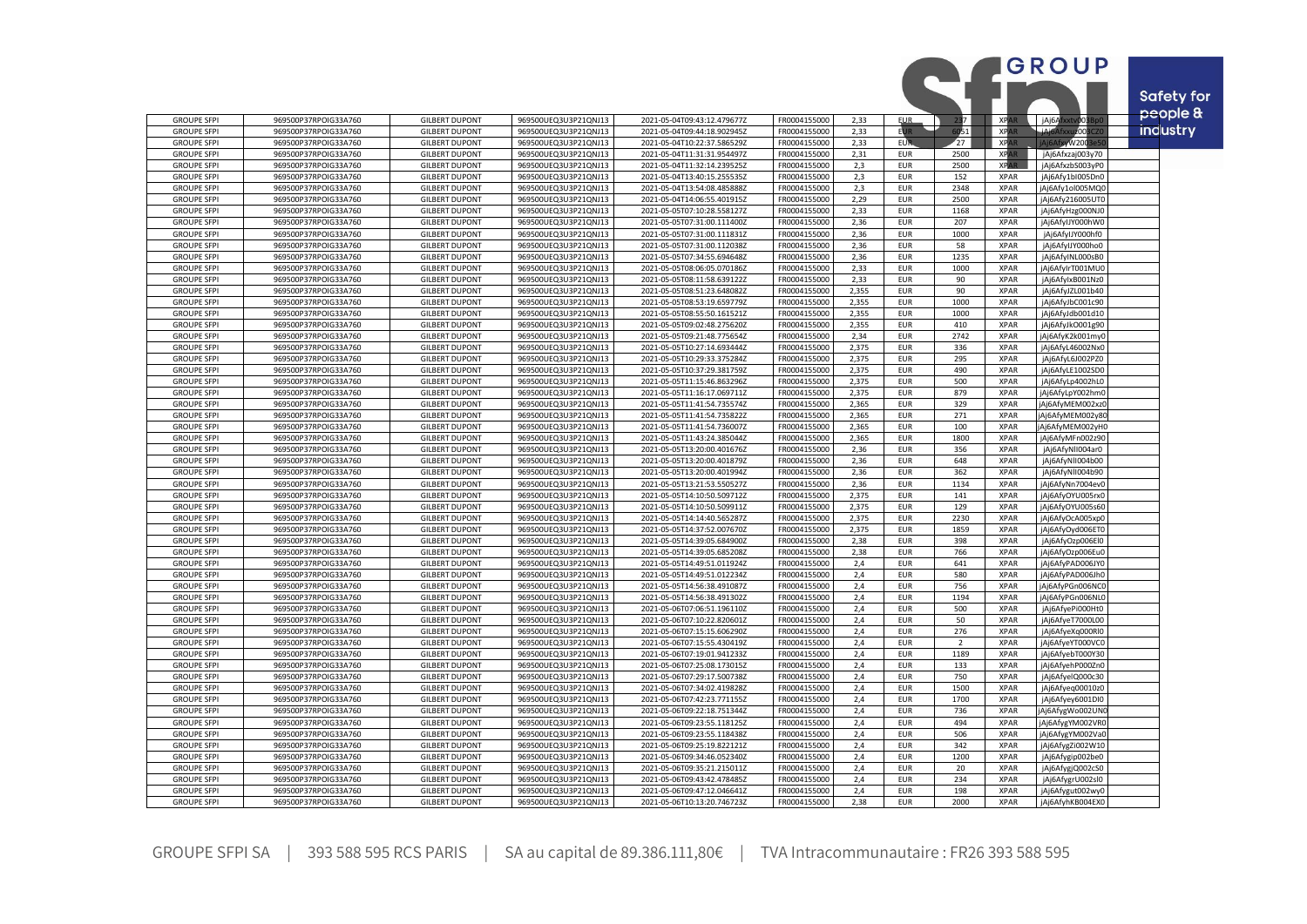|                                          |                                              |                                                |                                              |                                                            |                              |                |                          |                         |                            | GROUP                                | <b>Safety for</b> |
|------------------------------------------|----------------------------------------------|------------------------------------------------|----------------------------------------------|------------------------------------------------------------|------------------------------|----------------|--------------------------|-------------------------|----------------------------|--------------------------------------|-------------------|
|                                          |                                              |                                                |                                              |                                                            |                              |                |                          |                         |                            |                                      | people &          |
| <b>GROUPE SFPI</b>                       | 969500P37RPOIG33A760                         | <b>GILBERT DUPONT</b>                          | 969500UEQ3U3P21QNJ13                         | 2021-05-04T09:43:12.479677Z                                | FR0004155000                 | 2,33           | <b>EUR</b>               | 237                     | <b>XPAR</b>                | jAj6Afxxtv003Bp                      |                   |
| <b>GROUPE SFPI</b>                       | 969500P37RPOIG33A760                         | <b>GILBERT DUPONT</b>                          | 969500UEQ3U3P21QNJ13                         | 2021-05-04T09:44:18.902945Z                                | FR0004155000                 | 2,33           | <b>EUR</b>               | 051                     | <b>XPAR</b>                | -iAi6Afxx<br>uz003                   | <b>industry</b>   |
| <b>GROUPE SFPI</b><br><b>GROUPE SFPI</b> | 969500P37RPOIG33A760<br>969500P37RPOIG33A760 | <b>GILBERT DUPONT</b><br><b>GILBERT DUPONT</b> | 969500UEQ3U3P21QNJ13<br>969500UEQ3U3P21QNJ13 | 2021-05-04T10:22:37.586529Z<br>2021-05-04T11:31:31.954497Z | FR0004155000<br>FR0004155000 | 2,33<br>2.31   | <b>EUR</b><br><b>EUR</b> | $\overline{27}$<br>2500 | <b>XPA</b><br><b>XPAR</b>  | Aj6AfxyW200                          |                   |
| <b>GROUPE SFPI</b>                       | 969500P37RPOIG33A760                         | <b>GILBERT DUPONT</b>                          | 969500UEQ3U3P21QNJ13                         | 2021-05-04T11:32:14.239525Z                                | FR0004155000                 | 2,3            | <b>EUR</b>               | 2500                    | <b>XPAR</b>                | jAj6Afxzaj003y70<br>jAj6AfxzbS003yP0 |                   |
| <b>GROUPE SFPI</b>                       | 969500P37RPOIG33A760                         | <b>GILBERT DUPONT</b>                          | 969500UEQ3U3P21QNJ13                         | 2021-05-04T13:40:15.255535Z                                | FR0004155000                 | 2,3            | EUR                      | 152                     | <b>XPAR</b>                | jAj6Afy1bl005Dn0                     |                   |
| <b>GROUPE SFPI</b>                       | 969500P37RPOIG33A760                         | <b>GILBERT DUPONT</b>                          | 969500UEQ3U3P21QNJ13                         | 2021-05-04T13:54:08.485888Z                                | FR0004155000                 | 2,3            | <b>EUR</b>               | 2348                    | <b>XPAR</b>                | jAj6Afy1ol005MQC                     |                   |
| <b>GROUPE SFPI</b>                       | 969500P37RPOIG33A760                         | <b>GILBERT DUPONT</b>                          | 969500UEQ3U3P21QNJ13                         | 2021-05-04T14:06:55.401915Z                                | FR0004155000                 | 2,29           | <b>EUR</b>               | 2500                    | <b>XPAR</b>                | jAj6Afy216005UTC                     |                   |
| <b>GROUPE SFPI</b>                       | 969500P37RPOIG33A760                         | <b>GILBERT DUPONT</b>                          | 969500UEQ3U3P21QNJ13                         | 2021-05-05T07:10:28.558127Z                                | FR0004155000                 | 2,33           | EUR                      | 1168                    | <b>XPAR</b>                | jAj6AfyHzg000NJ0                     |                   |
| <b>GROUPE SFPI</b>                       | 969500P37RPOIG33A760                         | <b>GILBERT DUPONT</b>                          | 969500UEQ3U3P21QNJ13                         | 2021-05-05T07:31:00.111400Z                                | FR0004155000                 | 2,36           | <b>EUR</b>               | 207                     | <b>XPAR</b>                | jAj6AfylJY000hW0                     |                   |
| <b>GROUPE SFPI</b>                       | 969500P37RPOIG33A760                         | <b>GILBERT DUPONT</b>                          | 969500UEQ3U3P21QNJ13                         | 2021-05-05T07:31:00.111831Z                                | FR0004155000                 | 2,36           | EUR                      | 1000                    | <b>XPAR</b>                | jAj6AfylJY000hf0                     |                   |
| <b>GROUPE SFPI</b><br><b>GROUPE SFPI</b> | 969500P37RPOIG33A760<br>969500P37RPOIG33A760 | <b>GILBERT DUPONT</b><br><b>GILBERT DUPONT</b> | 969500UEQ3U3P21QNJ13<br>969500UEQ3U3P21QNJ13 | 2021-05-05T07:31:00.112038Z<br>2021-05-05T07:34:55.694648Z | FR0004155000<br>FR0004155000 | 2,36<br>2,36   | <b>EUR</b><br><b>EUR</b> | 58<br>1235              | <b>XPAR</b><br><b>XPAR</b> | jAj6AfylJY000ho0                     |                   |
| <b>GROUPE SFPI</b>                       | 969500P37RPOIG33A760                         | <b>GILBERT DUPONT</b>                          | 969500UEQ3U3P21QNJ13                         | 2021-05-05T08:06:05.070186Z                                | FR0004155000                 | 2,33           | <b>EUR</b>               | 1000                    | <b>XPAR</b>                | jAj6AfyINL000sB0<br>jAj6AfyIrT001MU0 |                   |
| <b>GROUPE SFPI</b>                       | 969500P37RPOIG33A760                         | <b>GILBERT DUPONT</b>                          | 969500UEQ3U3P21QNJ13                         | 2021-05-05T08:11:58.639122Z                                | FR0004155000                 | 2,33           | <b>EUR</b>               | 90                      | <b>XPAR</b>                | jAj6AfylxB001Nz0                     |                   |
| <b>GROUPE SFPI</b>                       | 969500P37RPOIG33A760                         | <b>GILBERT DUPONT</b>                          | 969500UEQ3U3P21QNJ13                         | 2021-05-05T08:51:23.648082Z                                | FR0004155000                 | 2,355          | <b>EUR</b>               | 90                      | <b>XPAR</b>                | jAj6AfyJZL001b40                     |                   |
| <b>GROUPE SFPI</b>                       | 969500P37RPOIG33A760                         | <b>GILBERT DUPONT</b>                          | 969500UEQ3U3P21QNJ13                         | 2021-05-05T08:53:19.659779Z                                | FR0004155000                 | 2.355          | <b>EUR</b>               | 1000                    | <b>XPAR</b>                | jAj6AfyJbC001c90                     |                   |
| <b>GROUPE SFPI</b>                       | 969500P37RPOIG33A760                         | <b>GILBERT DUPONT</b>                          | 969500UEQ3U3P21QNJ13                         | 2021-05-05T08:55:50.161521Z                                | FR0004155000                 | 2,355          | <b>EUR</b>               | 1000                    | <b>XPAR</b>                | jAj6AfyJdb001d10                     |                   |
| <b>GROUPE SFPI</b>                       | 969500P37RPOIG33A760                         | <b>GILBERT DUPONT</b>                          | 969500UEQ3U3P21QNJ13                         | 2021-05-05T09:02:48.275620Z                                | FR0004155000                 | 2,355          | <b>EUR</b>               | 410                     | <b>XPAR</b>                | jAj6AfyJkO001g90                     |                   |
| <b>GROUPE SFPI</b>                       | 969500P37RPOIG33A760                         | <b>GILBERT DUPONT</b>                          | 969500UEQ3U3P21QNJ13                         | 2021-05-05T09:21:48.775654Z                                | FR0004155000                 | 2,34           | EUR                      | 2742                    | <b>XPAR</b>                | jAj6AfyK2k001my0                     |                   |
| <b>GROUPE SFPI</b>                       | 969500P37RPOIG33A760                         | <b>GILBERT DUPONT</b>                          | 969500UEQ3U3P21QNJ13                         | 2021-05-05T10:27:14.693444Z                                | FR0004155000                 | 2,375          | <b>EUR</b>               | 336                     | <b>XPAR</b>                | jAj6AfyL46002Nx0                     |                   |
| <b>GROUPE SFPI</b>                       | 969500P37RPOIG33A760                         | <b>GILBERT DUPONT</b>                          | 969500UEQ3U3P21QNJ13                         | 2021-05-05T10:29:33.375284Z                                | FR0004155000<br>FR0004155000 | 2,375          | EUR                      | 295<br>490              | <b>XPAR</b>                | jAj6AfyL6J002PZ0                     |                   |
| <b>GROUPE SFPI</b><br><b>GROUPE SFPI</b> | 969500P37RPOIG33A760<br>969500P37RPOIG33A760 | <b>GILBERT DUPONT</b><br><b>GILBERT DUPONT</b> | 969500UEQ3U3P21QNJ13<br>969500UEQ3U3P21QNJ13 | 2021-05-05T10:37:29.381759Z<br>2021-05-05T11:15:46.863296Z | FR0004155000                 | 2,375<br>2,375 | <b>EUR</b><br><b>EUR</b> | 500                     | <b>XPAR</b><br><b>XPAR</b> | jAj6AfyLE1002SD0<br>jAj6AfyLp4002hL0 |                   |
| <b>GROUPE SFPI</b>                       | 969500P37RPOIG33A760                         | <b>GILBERT DUPONT</b>                          | 969500UEQ3U3P21QNJ13                         | 2021-05-05T11:16:17.069711Z                                | FR0004155000                 | 2.375          | <b>EUR</b>               | 879                     | <b>XPAR</b>                | jAj6AfyLpY002hm0                     |                   |
| <b>GROUPE SFPI</b>                       | 969500P37RPOIG33A760                         | <b>GILBERT DUPONT</b>                          | 969500UEQ3U3P21QNJ13                         | 2021-05-05T11:41:54.735574Z                                | FR0004155000                 | 2,365          | <b>EUR</b>               | 329                     | <b>XPAR</b>                | jAj6AfyMEM002xz0                     |                   |
| <b>GROUPE SFPI</b>                       | 969500P37RPOIG33A760                         | <b>GILBERT DUPONT</b>                          | 969500UEQ3U3P21QNJ13                         | 2021-05-05T11:41:54.735822Z                                | FR0004155000                 | 2,365          | <b>EUR</b>               | 271                     | <b>XPAR</b>                | jAj6AfyMEM002y80                     |                   |
| <b>GROUPE SFPI</b>                       | 969500P37RPOIG33A760                         | <b>GILBERT DUPONT</b>                          | 969500UEQ3U3P21QNJ13                         | 2021-05-05T11:41:54.736007Z                                | FR0004155000                 | 2,365          | <b>EUR</b>               | 100                     | <b>XPAR</b>                | Aj6AfyMEM002yH0                      |                   |
| <b>GROUPE SFPI</b>                       | 969500P37RPOIG33A760                         | <b>GILBERT DUPONT</b>                          | 969500UEQ3U3P21QNJ13                         | 2021-05-05T11:43:24.385044Z                                | FR0004155000                 | 2,365          | <b>EUR</b>               | 1800                    | <b>XPAR</b>                | jAj6AfyMFn002z90                     |                   |
| <b>GROUPE SFPI</b>                       | 969500P37RPOIG33A760                         | <b>GILBERT DUPONT</b>                          | 969500UEQ3U3P21QNJ13                         | 2021-05-05T13:20:00.401676Z                                | FR0004155000                 | 2,36           | <b>EUR</b>               | 356                     | <b>XPAR</b>                | jAj6AfyNII004ar0                     |                   |
| <b>GROUPE SFPI</b>                       | 969500P37RPOIG33A760                         | <b>GILBERT DUPONT</b>                          | 969500UEQ3U3P21QNJ13                         | 2021-05-05T13:20:00.401879Z                                | FR0004155000                 | 2,36           | <b>EUR</b>               | 648                     | <b>XPAR</b>                | jAj6AfyNII004b00                     |                   |
| <b>GROUPE SFPI</b>                       | 969500P37RPOIG33A760                         | <b>GILBERT DUPONT</b>                          | 969500UEQ3U3P21QNJ13                         | 2021-05-05T13:20:00.401994Z                                | FR0004155000                 | 2,36           | <b>EUR</b>               | 362<br>1134             | <b>XPAR</b><br><b>XPAR</b> | jAj6AfyNII004b90                     |                   |
| <b>GROUPE SFPI</b><br><b>GROUPE SFPI</b> | 969500P37RPOIG33A760<br>969500P37RPOIG33A760 | <b>GILBERT DUPONT</b><br><b>GILBERT DUPONT</b> | 969500UEQ3U3P21QNJ13<br>969500UEQ3U3P21QNJ13 | 2021-05-05T13:21:53.550527Z<br>2021-05-05T14:10:50.509712Z | FR0004155000<br>FR0004155000 | 2,36<br>2,375  | <b>EUR</b><br>EUR        | 141                     | <b>XPAR</b>                | jAj6AfyNn7004ev0<br>jAj6AfyOYU005rx0 |                   |
| <b>GROUPE SFPI</b>                       | 969500P37RPOIG33A760                         | <b>GILBERT DUPONT</b>                          | 969500UEQ3U3P21QNJ13                         | 2021-05-05T14:10:50.509911Z                                | FR0004155000                 | 2,375          | <b>EUR</b>               | 129                     | <b>XPAR</b>                | jAj6AfyOYU005s60                     |                   |
| <b>GROUPE SFPI</b>                       | 969500P37RPOIG33A760                         | <b>GILBERT DUPONT</b>                          | 969500UEQ3U3P21QNJ13                         | 2021-05-05T14:14:40.565287Z                                | FR0004155000                 | 2,375          | <b>EUR</b>               | 2230                    | <b>XPAR</b>                | jAj6AfyOcA005xpC                     |                   |
| <b>GROUPE SFPI</b>                       | 969500P37RPOIG33A760                         | <b>GILBERT DUPONT</b>                          | 969500UEQ3U3P21QNJ13                         | 2021-05-05T14:37:52.007670Z                                | FR0004155000                 | 2,375          | <b>EUR</b>               | 1859                    | <b>XPAR</b>                | jAj6AfyOyd006ET0                     |                   |
| <b>GROUPE SFPI</b>                       | 969500P37RPOIG33A760                         | <b>GILBERT DUPONT</b>                          | 969500UEQ3U3P21QNJ13                         | 2021-05-05T14:39:05.684900Z                                | FR0004155000                 | 2,38           | <b>EUR</b>               | 398                     | <b>XPAR</b>                | jAj6AfyOzp006El0                     |                   |
| <b>GROUPE SFPI</b>                       | 969500P37RPOIG33A760                         | <b>GILBERT DUPONT</b>                          | 969500UEQ3U3P21QNJ13                         | 2021-05-05T14:39:05.685208Z                                | FR0004155000                 | 2,38           | EUR                      | 766                     | <b>XPAR</b>                | jAj6AfyOzp006Eu0                     |                   |
| <b>GROUPE SFPI</b>                       | 969500P37RPOIG33A760                         | <b>GILBERT DUPONT</b>                          | 969500UEQ3U3P21QNJ1                          | 2021-05-05T14:49:51.011924Z                                | FR0004155000                 | 2,4            | <b>EUR</b>               | 641                     | <b>XPAR</b>                | jAj6AfyPAD006JYC                     |                   |
| <b>GROUPE SFPI</b>                       | 969500P37RPOIG33A760                         | <b>GILBERT DUPONT</b>                          | 969500UEQ3U3P21QNJ13                         | 2021-05-05T14:49:51.012234Z                                | FR0004155000                 | 2,4            | EUR                      | 580                     | <b>XPAR</b>                | jAj6AfyPAD006Jh0                     |                   |
| <b>GROUPE SFPI</b><br><b>GROUPE SFPI</b> | 969500P37RPOIG33A760<br>969500P37RPOIG33A760 | <b>GILBERT DUPONT</b><br><b>GILBERT DUPONT</b> | 969500UEQ3U3P21QNJ13<br>969500UEQ3U3P21QNJ13 | 2021-05-05T14:56:38.491087Z<br>2021-05-05T14:56:38.491302Z | FR0004155000<br>FR0004155000 | 2,4<br>2,4     | <b>EUR</b><br>EUR        | 756<br>1194             | <b>XPAR</b><br><b>XPAR</b> | jAj6AfyPGn006NCC<br>jAj6AfyPGn006NL0 |                   |
| <b>GROUPE SFPI</b>                       | 969500P37RPOIG33A760                         | <b>GILBERT DUPONT</b>                          | 969500UEQ3U3P21QNJ13                         | 2021-05-06T07:06:51.196110Z                                | FR0004155000                 | 2.4            | <b>EUR</b>               | 500                     | <b>XPAR</b>                | jAj6AfyePi000Ht0                     |                   |
| <b>GROUPE SFPI</b>                       | 969500P37RPOIG33A760                         | <b>GILBERT DUPONT</b>                          | 969500UEQ3U3P21QNJ13                         | 2021-05-06T07:10:22.820601Z                                | FR0004155000                 | 2,4            | <b>EUR</b>               | 50                      | <b>XPAR</b>                | jAj6AfyeT7000L00                     |                   |
| <b>GROUPE SFPI</b>                       | 969500P37RPOIG33A760                         | <b>GILBERT DUPONT</b>                          | 969500UEQ3U3P21QNJ13                         | 2021-05-06T07:15:15.606290Z                                | FR0004155000                 | 2,4            | <b>EUR</b>               | 276                     | <b>XPAR</b>                | jAj6AfyeXq000Rl0                     |                   |
| <b>GROUPE SFPI</b>                       | 969500P37RPOIG33A760                         | <b>GILBERT DUPONT</b>                          | 969500UEQ3U3P21QNJ13                         | 2021-05-06T07:15:55.430419Z                                | FR0004155000                 | 2,4            | <b>EUR</b>               | $\overline{2}$          | <b>XPAR</b>                | jAj6AfyeYT000VC0                     |                   |
| <b>GROUPE SFPI</b>                       | 969500P37RPOIG33A760                         | <b>GILBERT DUPONT</b>                          | 969500UEQ3U3P21QNJ13                         | 2021-05-06T07:19:01.941233Z                                | FR0004155000                 | 2,4            | <b>EUR</b>               | 1189                    | <b>XPAR</b>                | jAj6AfyebT000Y30                     |                   |
| <b>GROUPE SFPI</b>                       | 969500P37RPOIG33A760                         | <b>GILBERT DUPONT</b>                          | 969500UEQ3U3P21QNJ13                         | 2021-05-06T07:25:08.173015Z                                | FR0004155000                 | 2,4            | <b>EUR</b>               | 133                     | <b>XPAR</b>                | jAj6AfyehP000Zn0                     |                   |
| <b>GROUPE SFPI</b>                       | 969500P37RPOIG33A760                         | <b>GILBERT DUPONT</b>                          | 969500UEQ3U3P21QNJ13                         | 2021-05-06T07:29:17.500738Z                                | FR0004155000                 | 2,4            | <b>EUR</b>               | 750                     | <b>XPAR</b>                | jAj6AfyelQ000c30                     |                   |
| <b>GROUPE SFPI</b><br><b>GROUPE SFPI</b> | 969500P37RPOIG33A760<br>969500P37RPOIG33A760 | <b>GILBERT DUPONT</b><br><b>GILBERT DUPONT</b> | 969500UEQ3U3P21QNJ13<br>969500UEQ3U3P21QNJ13 | 2021-05-06T07:34:02.419828Z<br>2021-05-06T07:42:23.771155Z | FR0004155000<br>FR0004155000 | 2,4<br>2,4     | <b>EUR</b><br><b>EUR</b> | 1500<br>1700            | <b>XPAR</b><br><b>XPAR</b> | jAj6Afyeq00010z0                     |                   |
| <b>GROUPE SFPI</b>                       | 969500P37RPOIG33A760                         | <b>GILBERT DUPONT</b>                          | 969500UEQ3U3P21QNJ13                         | 2021-05-06T09:22:18.751344Z                                | FR0004155000                 | 2,4            | <b>EUR</b>               | 736                     | <b>XPAR</b>                | jAj6Afyey6001DI0<br>Aj6AfygWo002UN   |                   |
| <b>GROUPE SFPI</b>                       | 969500P37RPOIG33A760                         | <b>GILBERT DUPONT</b>                          | 969500UEQ3U3P21QNJ13                         | 2021-05-06T09:23:55.118125Z                                | FR0004155000                 | 2,4            | EUR                      | 494                     | <b>XPAR</b>                | jAj6AfygYM002VR0                     |                   |
| <b>GROUPE SFPI</b>                       | 969500P37RPOIG33A760                         | <b>GILBERT DUPONT</b>                          | 969500UEQ3U3P21QNJ13                         | 2021-05-06T09:23:55.118438Z                                | FR0004155000                 | 2,4            | <b>EUR</b>               | 506                     | <b>XPAR</b>                | jAj6AfygYM002Va0                     |                   |
| <b>GROUPE SFPI</b>                       | 969500P37RPOIG33A760                         | <b>GILBERT DUPONT</b>                          | 969500UEQ3U3P21QNJ13                         | 2021-05-06T09:25:19.822121Z                                | FR0004155000                 | 2,4            | <b>EUR</b>               | 342                     | <b>XPAR</b>                | jAj6AfygZi002W10                     |                   |
| <b>GROUPE SFPI</b>                       | 969500P37RPOIG33A760                         | <b>GILBERT DUPONT</b>                          | 969500UEQ3U3P21QNJ13                         | 2021-05-06T09:34:46.052340Z                                | FR0004155000                 | 2,4            | <b>EUR</b>               | 1200                    | <b>XPAR</b>                | jAj6Afygip002be0                     |                   |
| <b>GROUPE SFPI</b>                       | 969500P37RPOIG33A760                         | <b>GILBERT DUPONT</b>                          | 969500UEQ3U3P21QNJ13                         | 2021-05-06T09:35:21.215011Z                                | FR0004155000                 | 2,4            | <b>EUR</b>               | 20                      | <b>XPAR</b>                | jAj6AfygjQ002cS0                     |                   |
| <b>GROUPE SFPI</b>                       | 969500P37RPOIG33A760                         | <b>GILBERT DUPONT</b>                          | 969500UEQ3U3P21QNJ13                         | 2021-05-06T09:43:42.478485Z                                | FR0004155000                 | 2,4            | <b>EUR</b>               | 234                     | <b>XPAR</b>                | jAj6AfygrU002sl0                     |                   |
| <b>GROUPE SFPI</b>                       | 969500P37RPOIG33A760                         | <b>GILBERT DUPONT</b>                          | 969500UEQ3U3P21QNJ13                         | 2021-05-06T09:47:12.046641Z                                | FR0004155000                 | 2,4            | <b>EUR</b>               | 198                     | <b>XPAR</b>                | jAj6Afygut002wy0                     |                   |
| <b>GROUPE SFPI</b>                       | 969500P37RPOIG33A760                         | <b>GILBERT DUPONT</b>                          | 969500UEQ3U3P21QNJ13                         | 2021-05-06T10:13:20.746723Z                                | FR0004155000                 | 2.38           | <b>EUR</b>               | 2000                    | <b>XPAR</b>                | jAj6AfyhKB004EX0                     |                   |